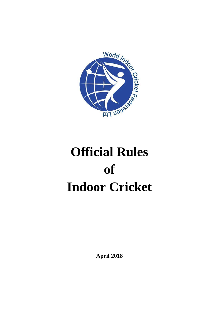

# **Official Rules of Indoor Cricket**

**April 2018**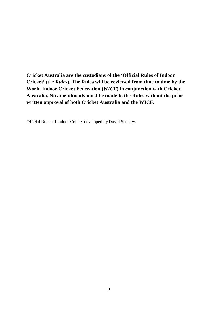**Cricket Australia are the custodians of the 'Official Rules of Indoor Cricket'** (the *Rules*)**. The Rules will be reviewed from time to time by the World Indoor Cricket Federation (***WICF***) in conjunction with Cricket Australia. No amendments must be made to the Rules without the prior written approval of both Cricket Australia and the WICF.**

Official Rules of Indoor Cricket developed by David Shepley.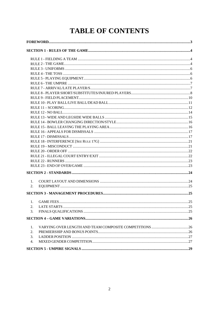# **TABLE OF CONTENTS**

| 1. |  |  |
|----|--|--|
| 2. |  |  |
|    |  |  |
| 1. |  |  |
| 2. |  |  |
| 3. |  |  |
|    |  |  |
|    |  |  |
| 1. |  |  |
| 2. |  |  |
| 3. |  |  |
| 4. |  |  |
|    |  |  |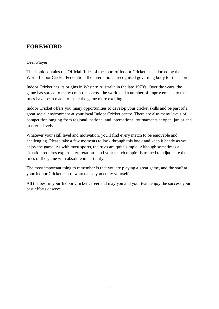# <span id="page-3-0"></span>**FOREWORD**

#### Dear Player,

This book contains the Official Rules of the sport of Indoor Cricket, as endorsed by the World Indoor Cricket Federation, the international recognised governing body for the sport.

Indoor Cricket has its origins in Western Australia in the late 1970's. Over the years, the game has spread to many countries across the world and a number of improvements to the rules have been made to make the game more exciting.

Indoor Cricket offers you many opportunities to develop your cricket skills and be part of a great social environment at your local Indoor Cricket centre. There are also many levels of competition ranging from regional, national and international tournaments at open, junior and master's levels.

Whatever your skill level and motivation, you'll find every match to be enjoyable and challenging. Please take a few moments to look through this book and keep it handy as you enjoy the game. As with most sports, the rules are quite simple. Although sometimes a situation requires expert interpretation - and your match umpire is trained to adjudicate the rules of the game with absolute impartiality.

The most important thing to remember is that you are playing a great game, and the staff at your Indoor Cricket centre want to see you enjoy yourself.

All the best in your Indoor Cricket career and may you and your team enjoy the success your best efforts deserve.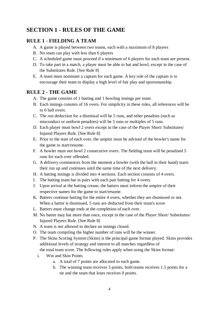# <span id="page-4-0"></span>**SECTION 1 - RULES OF THE GAME**

#### <span id="page-4-1"></span>**RULE 1 - FIELDING A TEAM**

- A. A game is played between two teams, each with a maximum of 8 players
- B. No team can play with less than 6 players
- C. A scheduled game must proceed if a minimum of 6 players for each team are present.
- D. To take part in a match, a player must be able to bat and bowl, except in the case of the Substitutes Rule. [See Rule 8]
- E. A team must nominate a captain for each game. A key role of the captain is to encourage their team to display a high level of fair play and sportsmanship.

#### <span id="page-4-2"></span>**RULE 2 - THE GAME**

- A. The game consists of 1 batting and 1 bowling innings per team.
- B. Each innings consists of 16 overs. For simplicity in these rules, all references will be to 6 ball overs.
- C. The run deduction for a dismissal will be 5 runs, and other penalties (such as misconduct or uniform penalties) will be 5 runs or multiples of 5 runs.
- D. Each player must bowl 2 overs except in the case of the Player Short/ Substitutes/ Injured Players Rule. [See Rule 8]
- E. Prior to the start of each over, the umpire must be advised of the bowler's name for the game to start/resume.
- F. A bowler must not bowl 2 consecutive overs. The fielding team will be penalised 5 runs for each over offended.
- G. A delivery commences from the moment a bowler (with the ball in their hand) starts their run up and continues until the same time of the next delivery.
- H. A batting innings is divided into 4 sections. Each section consists of 4 overs.
- I. The batting team bat in pairs with each pair batting for 4 overs.
- J. Upon arrival at the batting crease, the batters must inform the umpire of their respective names for the game to start/resume.
- K. Batters continue batting for the entire 4 overs, whether they are dismissed or not. When a batter is dismissed, 5 runs are deducted from their team's score
- L. Batters must change ends at the completion of each over.
- M. No batter may bat more than once, except in the case of the Player Short/ Substitutes/ Injured Players Rule. [See Rule 8]
- N. A team is not allowed to declare an innings closed.
- O. The team compiling the higher number of runs will be the winner.
- P. The Skins Scoring System (Skins) is the principal game format played. Skins provides additional levels of strategy and interest to all matches regardless of
	- the total team score. The following rules apply when using the Skins format:
	- i. Win and Skin Points
		- a. A total of 7 points are allocated to each game.
		- b. The winning team receives 3 points, both teams receives 1.5 points for a tie and the team that loses receives 0 points.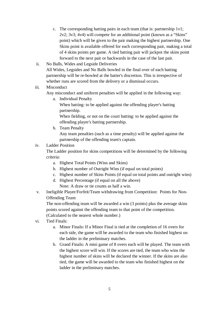- c. The corresponding batting pairs in each team (that is: partnership 1v1; 2v2; 3v3; 4v4) will compete for an additional point (known as a "Skins" point) which will be given to the pair making the highest partnership. One Skins point is available offered for each corresponding pair, making a total of 4 skins points per game. A tied batting pair will jackpot the skins point forward to the next pair or backwards in the case of the last pair.
- ii. No Balls, Wides and Legside Deliveries All Wides, Legsides and No Balls bowled in the final over of each batting partnership will be re-bowled at the batter's discretion. This is irrespective of whether runs are scored from the delivery or a dismissal occurs.

#### iii. Misconduct

Any misconduct and uniform penalties will be applied in the following way:

a. Individual Penalty

When batting: to be applied against the offending player's batting partnership.

When fielding, or not on the court batting: to be applied against the offending player's batting partnership.

b. Team Penalty

Any team penalties (such as a time penalty) will be applied against the partnership of the offending team's captain.

#### iv. Ladder Position

The Ladder position for skins competitions will be determined by the following criteria:

- a. Highest Total Points (Wins and Skins)
- b. Highest number of Outright Wins (if equal on total points)
- c. Highest number of Skins Points (if equal on total points and outright wins)
- d. Highest Percentage (if equal on all the above) Note: A draw or tie counts as half a win.
- v. Ineligible Player/Forfeit/Team withdrawing from Competition: Points for Non-Offending Team

The non-offending team will be awarded a win (3 points) plus the average skins points scored against the offending team to that point of the competition. (Calculated to the nearest whole number.)

- vi. Tied Finals:
	- a. Minor Finals**:** If a Minor Final is tied at the completion of 16 overs for each side, the game will be awarded to the team who finished highest on the ladder in the preliminary matches.
	- b. Grand Finals**:** A mini game of 8 overs each will be played. The team with the highest score will win. If the scores are tied, the team who wins the highest number of skins will be declared the winner. If the skins are also tied, the game will be awarded to the team who finished highest on the ladder in the preliminary matches.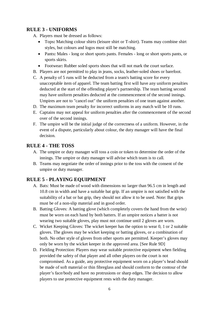#### <span id="page-6-0"></span>**RULE 3 - UNIFORMS**

- A. Players must be dressed as follows:
	- Tops**:** Matching colour shirts (leisure shirt or T-shirt). Teams may combine shirt styles, but colours and logos must still be matching.
	- Pants**:** Males long or short sports pants. Females long or short sports pants, or sports skirts.
	- Footwear**:** Rubber soled sports shoes that will not mark the court surface.
- B. Players are not permitted to play in jeans, socks, leather-soled shoes or barefoot.
- C. A penalty of 5 runs will be deducted from a team's batting score for every unacceptable item of apparel. The team batting first will have any uniform penalties deducted at the start of the offending player's partnership. The team batting second may have uniform penalties deducted at the commencement of the second innings. Umpires are not to "cancel out" the uniform penalties of one team against another.
- D. The maximum team penalty for incorrect uniforms in any match will be 10 runs.
- E. Captains may not appeal for uniform penalties after the commencement of the second over of the second innings.
- F. The umpire will be the initial judge of the correctness of a uniform. However, in the event of a dispute, particularly about colour, the duty manager will have the final decision.

#### <span id="page-6-1"></span>**RULE 4 - THE TOSS**

- A. The umpire or duty manager will toss a coin or token to determine the order of the innings. The umpire or duty manager will advise which team is to call.
- B. Teams may negotiate the order of innings prior to the toss with the consent of the umpire or duty manager.

#### <span id="page-6-2"></span>**RULE 5 - PLAYING EQUIPMENT**

- A. Bats: Must be made of wood with dimensions no larger than 96.5 cm in length and 10.8 cm in width and have a suitable bat grip. If an umpire is not satisfied with the suitability of a bat or bat grip, they should not allow it to be used. Note: Bat grips must be of a non-slip material and in good order.
- B. Batting Gloves: A batting glove (which completely covers the hand from the wrist) must be worn on each hand by both batters. If an umpire notices a batter is not wearing two suitable gloves, play must not continue until 2 gloves are worn.
- C. Wicket Keeping Gloves: The wicket keeper has the option to wear 0, 1 or 2 suitable gloves. The gloves may be wicket keeping or batting gloves, or a combination of both. No other style of gloves from other sports are permitted. Keeper's gloves may only be worn by the wicket keeper in the approved area. [See Rule 9D]
- D. Fielding Protection: Players may wear suitable protective equipment when fielding provided the safety of that player and all other players on the court is not compromised. As a guide, any protective equipment worn on a player's head should be made of soft material or thin fibreglass and should conform to the contour of the player's face/body and have no protrusions or sharp edges. The decision to allow players to use protective equipment rests with the duty manager.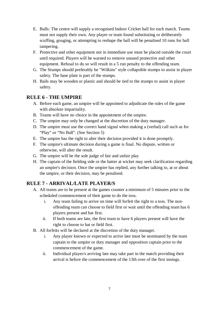- E. Balls: The centre will supply a recognised Indoor Cricket ball for each match. Teams must not supply their own. Any player or team found substituting or deliberately scuffing, gouging, or attempting to reshape the ball will be penalised 10 runs for ball tampering.
- F. Protective and other equipment not in immediate use must be placed outside the court until required. Players will be warned to remove unused protective and other equipment. Refusal to do so will result in a 5 run penalty to the offending team.
- G. The Stumps should preferably be "Wilkins" style collapsible stumps to assist in player safety. The base plate is part of the stumps.
- H. Bails may be wooden or plastic and should be tied to the stumps to assist in player safety.

#### <span id="page-7-0"></span>**RULE 6 - THE UMPIRE**

- A. Before each game, an umpire will be appointed to adjudicate the rules of the game with absolute impartiality.
- B. Teams will have no choice in the appointment of the umpire.
- C. The umpire may only be changed at the discretion of the duty manager.
- D. The umpire must use the correct hand signal when making a (verbal) call such as for "Play" or "No Ball". (See Section 5)
- E. The umpire has the right to alter their decision provided it is done promptly.
- F. The umpire's ultimate decision during a game is final. No dispute, written or otherwise, will alter the result.
- G. The umpire will be the sole judge of fair and unfair play
- H. The captain of the fielding side or the batter at wicket may seek clarification regarding an umpire's decision. Once the umpire has replied, any further talking to, at or about the umpire, or their decision, may be penalised.

# <span id="page-7-1"></span>**RULE 7 - ARRIVAL/LATE PLAYER/S**

- A. All teams are to be present at the games counter a minimum of 5 minutes prior to the scheduled commencement of their game to do the toss.
	- i. Any team failing to arrive on time will forfeit the right to a toss. The nonoffending team can choose to field first or wait until the offending team has 6 players present and bat first.
	- ii. If both teams are late, the first team to have 6 players present will have the right to choose to bat or field first.
- B. All forfeits will be declared at the discretion of the duty manager.
	- i. Any player known or expected to arrive late must be nominated by the team captain to the umpire or duty manager and opposition captain prior to the commencement of the game.
	- ii. Individual player/s arriving late may take part in the match providing their arrival is before the commencement of the 13th over of the first innings.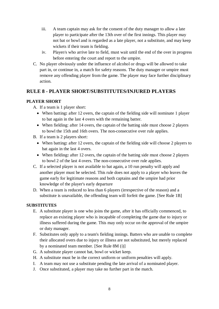- iii. A team captain may ask for the consent of the duty manager to allow a late player to participate after the 13th over of the first innings. This player may not bat or bowl and is regarded as a late player, not a substitute, and may keep wickets if their team is fielding.
- iv. Player/s who arrive late to field, must wait until the end of the over in progress before entering the court and report to the umpire.
- C. No player obviously under the influence of alcohol or drugs will be allowed to take part in, or continue in, a match for safety reasons. The duty manager or umpire must remove any offending player from the game. The player may face further disciplinary action.

#### <span id="page-8-0"></span>**RULE 8 - PLAYER SHORT/SUBSTITUTES/INJURED PLAYERS**

#### **PLAYER SHORT**

- A. If a team is 1 player short:
	- When batting: after 12 overs, the captain of the fielding side will nominate 1 player to bat again in the last 4 overs with the remaining batter.
	- When fielding: after 14 overs, the captain of the batting side must choose 2 players to bowl the 15th and 16th overs. The non-consecutive over rule applies.
- B. If a team is 2 players short:
	- When batting: after 12 overs, the captain of the fielding side will choose 2 players to bat again in the last 4 overs.
	- When fielding: after 12 overs, the captain of the batting side must choose 2 players to bowl 2 of the last 4 overs. The non-consecutive over rule applies.
- C. If a selected player is not available to bat again, a 10 run penalty will apply and another player must be selected. This rule does not apply to a player who leaves the game early for legitimate reasons and both captains and the umpire had prior knowledge of the player's early departure
- D. When a team is reduced to less than 6 players (irrespective of the reason) and a substitute is unavailable, the offending team will forfeit the game. [See Rule 1B]

#### **SUBSTITUTES**

- E. A substitute player is one who joins the game, after it has officially commenced, to replace an existing player who is incapable of completing the game due to injury or illness suffered during the game. This may only occur on the approval of the umpire or duty manager.
- F. Substitutes only apply to a team's fielding innings. Batters who are unable to complete their allocated overs due to injury or illness are not substituted, but merely replaced by a nominated team member. [See Rule 8M (i)]
- G. A substitute player cannot bat, bowl or wicket keep.
- H. A substitute must be in the correct uniform or uniform penalties will apply.
- I. A team may not use a substitute pending the late arrival of a nominated player.
- J. Once substituted, a player may take no further part in the match.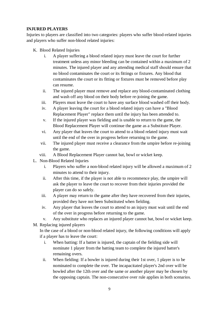#### **INJURED PLAYERS**

Injuries to players are classified into two categories: players who suffer blood-related injuries and players who suffer non-blood related injuries:

- K. Blood Related Injuries
	- i. A player suffering a blood related injury must leave the court for further treatment unless any minor bleeding can be contained within a maximum of 2 minutes. The injured player and any attending medical staff should ensure that no blood contaminates the court or its fittings or fixtures. Any blood that contaminates the court or its fitting or fixtures must be removed before play can resume.
	- ii. The injured player must remove and replace any blood-contaminated clothing and wash off any blood on their body before re-joining the game.
	- iii. Players must leave the court to have any surface blood washed off their body.
	- iv. A player leaving the court for a blood related injury can have a "Blood Replacement Player" replace them until the injury has been attended to.
	- v. If the injured player was fielding and is unable to return to the game, the Blood Replacement Player will continue the game as a Substitute Player.
	- vi. Any player that leaves the court to attend to a blood related injury must wait until the end of the over in progress before returning to the game.
	- vii. The injured player must receive a clearance from the umpire before re-joining the game.
	- viii. A Blood Replacement Player cannot bat, bowl or wicket keep.
- L. Non-Blood Related Injuries
	- i. Players who suffer a non-blood related injury will be allowed a maximum of 2 minutes to attend to their injury.
	- ii. After this time, if the player is not able to recommence play, the umpire will ask the player to leave the court to recover from their injuries provided the player can do so safely.
	- iii. A player may return to the game after they have recovered from their injuries, provided they have not been Substituted when fielding.
	- iv. Any player that leaves the court to attend to an injury must wait until the end of the over in progress before returning to the game.
	- v. Any substitute who replaces an injured player cannot bat, bowl or wicket keep.
- M. Replacing injured players

In the case of a blood or non-blood related injury, the following conditions will apply if a player has to leave the court:

- i. When batting: If a batter is injured, the captain of the fielding side will nominate 1 player from the batting team to complete the injured batter's remaining overs.
- ii. When fielding: If a bowler is injured during their 1st over, 1 player is to be nominated to complete the over. The incapacitated player's 2nd over will be bowled after the 12th over and the same or another player may be chosen by the opposing captain. The non-consecutive over rule applies in both scenarios.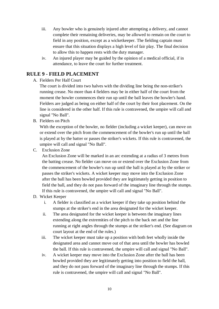- iii. Any bowler who is genuinely injured after attempting a delivery, and cannot complete their remaining deliveries, may be allowed to remain on the court to field in any position, except as a wicketkeeper. The fielding captain must ensure that this situation displays a high level of fair play. The final decision to allow this to happen rests with the duty manager.
- iv. An injured player may be guided by the opinion of a medical official, if in attendance, to leave the court for further treatment.

#### <span id="page-10-0"></span>**RULE 9 - FIELD PLACEMENT**

#### A. Fielders Per Half Court

The court is divided into two halves with the dividing line being the non-striker's running crease. No more than 4 fielders may be in either half of the court from the moment the bowler commences their run up until the ball leaves the bowler's hand. Fielders are judged as being on either half of the court by their foot placement. On the line is considered in the other half. If this rule is contravened, the umpire will call and signal "No Ball".

B. Fielders on Pitch

With the exception of the bowler, no fielder (including a wicket keeper), can move on or extend over the pitch from the commencement of the bowler's run up until the ball is played at by the batter or passes the striker's wickets. If this rule is contravened, the umpire will call and signal "No Ball".

C. Exclusion Zone

An Exclusion Zone will be marked in an arc extending at a radius of 3 metres from the batting crease. No fielder can move on or extend over the Exclusion Zone from the commencement of the bowler's run up until the ball is played at by the striker or passes the striker's wickets. A wicket keeper may move into the Exclusion Zone after the ball has been bowled provided they are legitimately getting in position to field the ball, and they do not pass forward of the imaginary line through the stumps. If this rule is contravened, the umpire will call and signal "No Ball".

- D. Wicket Keeper
	- i. A fielder is classified as a wicket keeper if they take up position behind the stumps at the striker's end in the area designated for the wicket keeper.
	- ii. The area designated for the wicket keeper is between the imaginary lines extending along the extremities of the pitch to the back net and the line running at right angles through the stumps at the striker's end. (See diagram on court layout at the end of the rules.)
	- iii. The wicket keeper must take up a position with both feet wholly inside the designated area and cannot move out of that area until the bowler has bowled the ball. If this rule is contravened, the umpire will call and signal "No Ball".
	- iv. A wicket keeper may move into the Exclusion Zone after the ball has been bowled provided they are legitimately getting into position to field the ball, and they do not pass forward of the imaginary line through the stumps. If this rule is contravened, the umpire will call and signal "No Ball".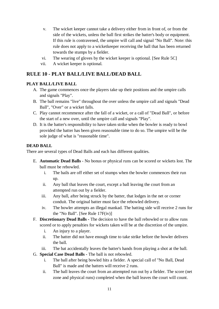- v. The wicket keeper cannot take a delivery either from in front of, or from the side of the wickets, unless the ball first strikes the batter's body or equipment. If this rule is contravened, the umpire will call and signal "No Ball". Note: this rule does not apply to a wicketkeeper receiving the ball that has been returned towards the stumps by a fielder.
- vi. The wearing of gloves by the wicket keeper is optional. [See Rule 5C]
- vii. A wicket keeper is optional.

#### <span id="page-11-0"></span>**RULE 10 - PLAY BALL/LIVE BALL/DEAD BALL**

#### **PLAY BALL/LIVE BALL**

- A. The game commences once the players take up their positions and the umpire calls and signals "Play".
- B. The ball remains "live" throughout the over unless the umpire call and signals "Dead Ball", "Over" or a wicket falls.
- C. Play cannot recommence after the fall of a wicket, or a call of "Dead Ball", or before the start of a new over, until the umpire call and signals "Play".
- D. It is the batter's responsibility to have taken strike when the bowler is ready to bowl provided the batter has been given reasonable time to do so. The umpire will be the sole judge of what is "reasonable time".

#### **DEAD BALL**

There are several types of Dead Balls and each has different qualities.

- E. **Automatic Dead Balls** No bonus or physical runs can be scored or wickets lost. The ball must be rebowled.
	- i. The bails are off either set of stumps when the bowler commences their run up.
	- ii. Any ball that leaves the court, except a ball leaving the court from an attempted run out by a fielder.
	- iii. Any ball, after being struck by the batter, that lodges in the net or corner conduit. The original batter must face the rebowled delivery.
	- iv. The bowler attempts an illegal mankad. The batting side will receive 2 runs for the "No Ball". [See Rule 17F(iv)]
- F. **Discretionary Dead Balls -** The decision to have the ball rebowled or to allow runs scored or to apply penalties for wickets taken will be at the discretion of the umpire.
	- i. An injury to a player.
	- ii. The batter did not have enough time to take strike before the bowler delivers the ball.
	- iii. The bat accidentally leaves the batter's hands from playing a shot at the ball.
- G. **Special Case Dead Balls -** The ball is not rebowled.
	- i. The ball after being bowled hits a fielder. A special call of "No Ball, Dead Ball" is made and the batters will receive 2 runs.
	- ii. The ball leaves the court from an attempted run out by a fielder. The score (net zone and physical runs) completed when the ball leaves the court will count.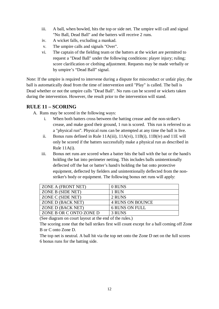- iii. A ball, when bowled, hits the top or side net. The umpire will call and signal "No Ball, Dead Ball" and the batters will receive 2 runs.
- iv. A wicket falls, excluding a mankad.
- v. The umpire calls and signals "Over".
- vi. The captain of the fielding team or the batters at the wicket are permitted to request a "Dead Ball" under the following conditions: player injury; ruling; score clarification or clothing adjustment. Requests may be made verbally or by umpire's "Dead Ball" signal.

Note: If the umpire is required to intervene during a dispute for misconduct or unfair play, the ball is automatically dead from the time of intervention until "Play" is called. The ball is Dead whether or not the umpire calls "Dead Ball". No runs can be scored or wickets taken during the intervention. However, the result prior to the intervention will stand.

#### <span id="page-12-0"></span>**RULE 11 – SCORING**

A. Runs may be scored in the following ways:

- i. When both batters cross between the batting crease and the non-striker's crease, and make good their ground, 1 run is scored. This run is referred to as a "physical run". Physical runs can be attempted at any time the ball is live.
- ii. Bonus runs defined in Rule  $11A(iii)$ ,  $11A(vi)$ ,  $11B(i)$ ,  $11B(iv)$  and  $11E$  will only be scored if the batters successfully make a physical run as described in Rule 11A(i).
- iii. Bonus net runs are scored when a batter hits the ball with the bat or the hand/s holding the bat into perimeter netting. This includes balls unintentionally deflected off the bat or batter's hand/s holding the bat onto protective equipment, deflected by fielders and unintentionally deflected from the nonstriker's body or equipment. The following bonus net runs will apply:

| ZONE A (FRONT NET)      | 0 RUNS                  |
|-------------------------|-------------------------|
| ZONE B (SIDE NET)       | 1 RUN                   |
| ZONE C (SIDE NET)       | 2 RUNS                  |
| ZONE D (BACK NET)       | <b>4 RUNS ON BOUNCE</b> |
| ZONE D (BACK NET)       | <b>6 RUNS ON FULL</b>   |
| ZONE B OR C ONTO ZONE D | 3 RUNS                  |

(See diagram on court layout at the end of the rules.)

The scoring zone that the ball strikes first will count except for a ball coming off Zone B or C onto Zone D.

The top net is neutral. A ball hit via the top net onto the Zone D net on the full scores 6 bonus runs for the batting side.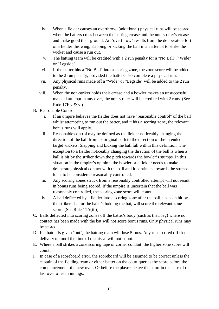- iv. When a fielder causes an overthrow, (additional) physical runs will be scored when the batters cross between the batting crease and the non-striker's crease and make good their ground. An "overthrow" results from the deliberate effort of a fielder throwing, slapping or kicking the ball in an attempt to strike the wicket and cause a run out.
- v. The batting team will be credited with a 2 run penalty for a "No Ball", "Wide" or "Legside".
- vi. If the batter hits a "No Ball" into a scoring zone, the zone score will be added to the 2 run penalty, provided the batters also complete a physical run.
- vii. Any physical runs made off a "Wide" or "Legside" will be added to the 2 run penalty.
- viii. When the non-striker holds their crease and a bowler makes an unsuccessful mankad attempt in any over, the non-striker will be credited with 2 runs. (See Rule 17F v & vi)
- B. Reasonable Control
	- i. If an umpire believes the fielder does not have "reasonable control" of the ball whilst attempting to run out the batter, and it hits a scoring zone, the relevant bonus runs will apply.
	- ii. Reasonable control may be defined as the fielder noticeably changing the direction of the ball from its original path to the direction of the intended target wickets. Slapping and kicking the ball fall within this definition. The exception to a fielder noticeably changing the direction of the ball is when a ball is hit by the striker down the pitch towards the bowler's stumps. In this situation in the umpire's opinion, the bowler or a fielder needs to make deliberate, physical contact with the ball and it continues towards the stumps for it to be considered reasonably controlled.
	- iii. Any scoring zones struck from a reasonably controlled attempt will not result in bonus runs being scored. If the umpire is uncertain that the ball was reasonably controlled, the scoring zone score will count.
	- iv. A ball deflected by a fielder into a scoring zone after the ball has been hit by the striker's bat or the hand/s holding the bat, will score the relevant zone score. [See Rule 11A(iii)]
- C. Balls deflected into scoring zones off the batter's body (such as their leg) where no contact has been made with the bat will not score bonus runs. Only physical runs may be scored.
- D. If a batter is given "out", the batting team will lose 5 runs. Any runs scored off that delivery up until the time of dismissal will not count.
- E. Where a ball strikes a zone scoring tape or corner conduit, the higher zone score will count.
- F. In case of a scoreboard error, the scoreboard will be assumed to be correct unless the captain of the fielding team or either batter on the court queries the score before the commencement of a new over. Or before the players leave the court in the case of the last over of each innings.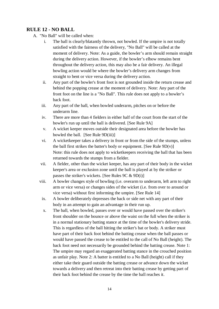#### <span id="page-14-0"></span>**RULE 12 - NO BALL**

- A. "No Ball" will be called when:
	- i. The ball is clearly/blatantly thrown, not bowled. If the umpire is not totally satisfied with the fairness of the delivery, "No Ball" will be called at the moment of delivery. Note: As a guide, the bowler's arm should remain straight during the delivery action. However, if the bowler's elbow remains bent throughout the delivery action, this may also be a fair delivery. An illegal bowling action would be where the bowler's delivery arm changes from straight to bent or vice versa during the delivery action.
	- ii. Any part of the bowler's front foot is not grounded inside the return crease and behind the popping crease at the moment of delivery. Note: Any part of the front foot on the line is a "No Ball". This rule does not apply to a bowler's back foot.
	- iii. Any part of the ball, when bowled underarm, pitches on or before the underarm line.
	- iv. There are more than 4 fielders in either half of the court from the start of the bowler's run up until the ball is delivered. [See Rule 9A]
	- v. A wicket keeper moves outside their designated area before the bowler has bowled the ball. [See Rule 9D(iii)]
	- vi. A wicketkeeper takes a delivery in front or from the side of the stumps, unless the ball first strikes the batter's body or equipment. [See Rule  $9D(v)$ ] Note: this rule does not apply to wicketkeepers receiving the ball that has been returned towards the stumps from a fielder.
	- vii. A fielder, other than the wicket keeper, has any part of their body in the wicket keeper's area or exclusion zone until the ball is played at by the striker or passes the striker's wickets. [See Rules 9C & 9D(i)]
	- viii. A bowler changes style of bowling (i.e. overarm to underarm, left arm to right arm or vice versa) or changes sides of the wicket (i.e. from over to around or vice versa) without first informing the umpire. [See Rule 14]
	- ix. A bowler deliberately depresses the back or side net with any part of their body in an attempt to gain an advantage in their run up.
	- x. The ball, when bowled, passes over or would have passed over the striker's front shoulder on the bounce or above the waist on the full when the striker is in a normal stationary batting stance at the time of the bowler's delivery stride. This is regardless of the ball hitting the striker's bat or body. A striker must have part of their back foot behind the batting crease when the ball passes or would have passed the crease to be entitled to the call of No Ball (height). The back foot need not necessarily be grounded behind the batting crease. Note 1: The umpire may regard an exaggerated batting stance in the crouched position as unfair play. Note 2: A batter is entitled to a No Ball (height) call if they either take their guard outside the batting crease or advance down the wicket towards a delivery and then retreat into their batting crease by getting part of their back foot behind the crease by the time the ball reaches it.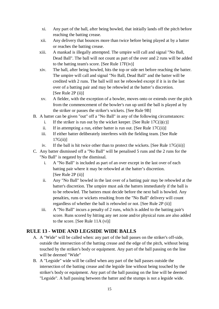- xi. Any part of the ball, after being bowled, that initially lands off the pitch before reaching the batting crease.
- xii. Any delivery that bounces more than twice before being played at by a batter or reaches the batting crease.
- xiii. A mankad is illegally attempted. The umpire will call and signal "No Ball, Dead Ball". The ball will not count as part of the over and 2 runs will be added to the batting team's score. [See Rule 17F(iv)]
- xiv. The ball, after being bowled, hits the top or side net before reaching the batter. The umpire will call and signal "No Ball, Dead Ball" and the batter will be credited with 2 runs. The ball will not be rebowled except if it is in the last over of a batting pair and may be rebowled at the batter's discretion. [See Rule 2P (ii)]
- xv. A fielder, with the exception of a bowler, moves onto or extends over the pitch from the commencement of the bowler's run up until the ball is played at by the striker or passes the striker's wickets. [See Rule 9B]
- B. A batter can be given "out" off a "No Ball" in any of the following circumstances:
	- i. If the striker is run out by the wicket keeper. [See Rule  $17C(i)(c)$ ]
	- ii. If in attempting a run, either batter is run out. [See Rule  $17C(ii)$ ]
	- iii. If either batter deliberately interferes with the fielding team. [See Rule  $17G(ii)$ ]
	- iv. If the ball is hit twice other than to protect the wickets. [See Rule 17G(iii)]
- C. Any batter dismissed off a "No Ball" will be penalised 5 runs and the 2 runs for the "No Ball" is negated by the dismissal.
	- i. A "No Ball" is included as part of an over except in the last over of each batting pair where it may be rebowled at the batter's discretion. [See Rule 2P (ii)]
	- ii. Any "No Ball" bowled in the last over of a batting pair may be rebowled at the batter's discretion. The umpire must ask the batters immediately if the ball is to be rebowled. The batters must decide before the next ball is bowled. Any penalties, runs or wickets resulting from the "No Ball" delivery will count regardless of whether the ball is rebowled or not. [See Rule 2P (ii)]
	- iii. A "No Ball" incurs a penalty of 2 runs, which is added to the batting pair's score. Runs scored by hitting any net zone and/or physical runs are also added to the score. [See Rule 11A (vi)]

#### <span id="page-15-0"></span>**RULE 13 - WIDE AND LEGSIDE WIDE BALLS**

- A. A "Wide" will be called when: any part of the ball passes on the striker's off-side, outside the intersection of the batting crease and the edge of the pitch, without being touched by the striker's body or equipment. Any part of the ball passing on the line will be deemed "Wide"
- B. A "Legside" wide will be called when any part of the ball passes outside the intersection of the batting crease and the legside line without being touched by the striker's body or equipment. Any part of the ball passing on the line will be deemed "Legside". A ball passing between the batter and the stumps is not a legside wide.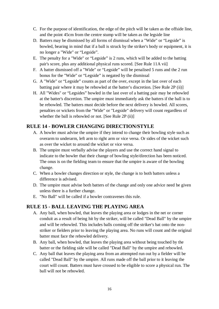- C. For the purpose of identification, the edge of the pitch will be taken as the offside line, and the point 45cm from the centre stump will be taken as the legside line
- D. Batters may be dismissed by all forms of dismissal when a "Wide" or "Legside" is bowled, bearing in mind that if a ball is struck by the striker's body or equipment, it is no longer a "Wide" or "Legside".
- E. The penalty for a "Wide" or "Legside" is 2 runs, which will be added to the batting pair's score, plus any additional physical runs scored. [See Rule 11A vii]
- F. A batter dismissed off a "Wide" or "Legside" will be penalised 5 runs and the 2 run bonus for the "Wide" or "Legside" is negated by the dismissal
- G. A "Wide" or "Legside" counts as part of the over, except in the last over of each batting pair where it may be rebowled at the batter's discretion. [See Rule 2P (ii)]
- H. All "Wides" or "Legsides" bowled in the last over of a batting pair may be rebowled at the batter's discretion. The umpire must immediately ask the batters if the ball is to be rebowled. The batters must decide before the next delivery is bowled. All scores, penalties or wickets from the "Wide" or "Legside" delivery will count regardless of whether the ball is rebowled or not. [See Rule 2P (ii)]

#### <span id="page-16-0"></span>**RULE 14 - BOWLER CHANGING DIRECTION/STYLE**

- A. A bowler must advise the umpire if they intend to change their bowling style such as overarm to underarm, left arm to right arm or vice versa. Or sides of the wicket such as over the wicket to around the wicket or vice versa.
- B. The umpire must verbally advise the players and use the correct hand signal to indicate to the bowler that their change of bowling style/direction has been noticed. The onus is on the fielding team to ensure that the umpire is aware of the bowling change.
- C. When a bowler changes direction or style, the change is to both batters unless a difference is advised.
- D. The umpire must advise both batters of the change and only one advice need be given unless there is a further change.
- E. "No Ball" will be called if a bowler contravenes this rule.

#### <span id="page-16-1"></span>**RULE 15 - BALL LEAVING THE PLAYING AREA**

- A. Any ball, when bowled, that leaves the playing area or lodges in the net or corner conduit as a result of being hit by the striker, will be called "Dead Ball" by the umpire and will be rebowled. This includes balls coming off the striker's bat onto the nonstriker or fielders prior to leaving the playing area. No runs will count and the original batter must face the rebowled delivery.
- B. Any ball, when bowled, that leaves the playing area without being touched by the batter or the fielding side will be called "Dead Ball" by the umpire and rebowled.
- C. Any ball that leaves the playing area from an attempted run out by a fielder will be called "Dead Ball" by the umpire. All runs made off the ball prior to it leaving the court will count. Batters must have crossed to be eligible to score a physical run. The ball will not be rebowled.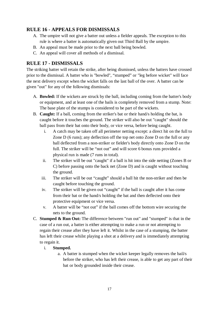# <span id="page-17-0"></span>**RULE 16 - APPEALS FOR DISMISSALS**

- A. The umpire will not give a batter out unless a fielder appeals. The exception to this rule is where a batter is automatically given out Third Ball by the umpire.
- B. An appeal must be made prior to the next ball being bowled.
- C. An appeal will cover all methods of a dismissal.

#### <span id="page-17-1"></span>**RULE 17 - DISMISSALS**

The striking batter will retain the strike, after being dismissed, unless the batters have crossed prior to the dismissal. A batter who is "bowled", "stumped" or "leg before wicket" will face the next delivery except when the wicket falls on the last ball of the over. A batter can be given "out" for any of the following dismissals:

- A. **Bowled:** If the wickets are struck by the ball, including coming from the batter's body or equipment, and at least one of the bails is completely removed from a stump. Note: The base plate of the stumps is considered to be part of the wickets.
- B. **Caught:** If a ball, coming from the striker's bat or their hand/s holding the bat, is caught before it touches the ground. The striker will also be out "caught" should the ball pass from their bat onto their body, or vice versa, before being caught.
	- i. A catch may be taken off all perimeter netting except: a direct hit on the full to Zone D (6 runs); any deflection off the top net onto Zone D on the full or any ball deflected from a non-striker or fielder's body directly onto Zone D on the full. The striker will be "not out" and will score 6 bonus runs provided a physical run is made (7 runs in total).
	- ii. The striker will be out "caught" if a ball is hit into the side netting (Zones B or C) before passing onto the back net (Zone D) and is caught without touching the ground.
	- iii. The striker will be out "caught" should a ball hit the non-striker and then be caught before touching the ground.
	- iv. The striker will be given out "caught" if the ball is caught after it has come from their bat or the hand/s holding the bat and then deflected onto their protective equipment or vice versa.
	- v. A batter will be "not out" if the ball comes off the bottom wire securing the nets to the ground.
- C. **Stumped & Run Out:** The difference between "run out" and "stumped" is that in the case of a run out, a batter is either attempting to make a run or not attempting to regain their crease after they have left it. Whilst in the case of a stumping, the batter has left their crease whilst playing a shot at a delivery and is immediately attempting to regain it.

#### i. **Stumped.**

a. A batter is stumped when the wicket keeper legally removes the bail/s before the striker, who has left their crease, is able to get any part of their bat or body grounded inside their crease.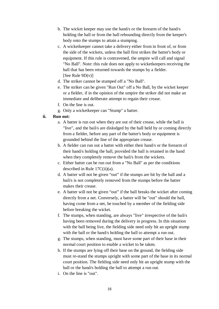- b. The wicket keeper may use the hand/s or the forearm of the hand/s holding the ball or from the ball rebounding directly from the keeper's body onto the stumps to attain a stumping.
- c. A wicketkeeper cannot take a delivery either from in front of, or from the side of the wickets, unless the ball first strikes the batter's body or equipment. If this rule is contravened, the umpire will call and signal "No Ball". Note: this rule does not apply to wicketkeepers receiving the ball that has been returned towards the stumps by a fielder. [See Rule  $9D(v)$ ]
- d. The striker cannot be stumped off a "No Ball".
- e. The striker can be given "Run Out" off a No Ball, by the wicket keeper or a fielder, if in the opinion of the umpire the striker did not make an immediate and deliberate attempt to regain their crease.
- f. On the line is out.
- g. Only a wicketkeeper can "Stump" a batter.

#### **ii. Run out:**

- a. A batter is run out when they are out of their crease, while the ball is "live", and the bail/s are dislodged by the ball held by or coming directly from a fielder, before any part of the batter's body or equipment is grounded behind the line of the appropriate crease.
- b. A fielder can run out a batter with either their hand/s or the forearm of their hand/s holding the ball, provided the ball is retained in the hand when they completely remove the bail/s from the wickets.
- c. Either batter can be run out from a "No Ball" as per the conditions described in Rule 17C(ii)(a).
- d. A batter will not be given "out" if the stumps are hit by the ball and a bail/s is not completely removed from the stumps before the batter makes their crease.
- e. A batter will not be given "out" if the ball breaks the wicket after coming directly from a net. Conversely, a batter will be "out" should the ball, having come from a net, be touched by a member of the fielding side before breaking the wicket.
- f. The stumps, when standing, are always "live" irrespective of the bail/s having been removed during the delivery in progress. In this situation with the ball being live, the fielding side need only hit an upright stump with the ball or the hand/s holding the ball to attempt a run out.
- g. The stumps, when standing, must have some part of their base in their normal court position to enable a wicket to be taken.
- h. If the stumps are lying off their base on the ground, the fielding side must re-stand the stumps upright with some part of the base in its normal court position. The fielding side need only hit an upright stump with the ball or the hand/s holding the ball to attempt a run out.
- i. On the line is "out".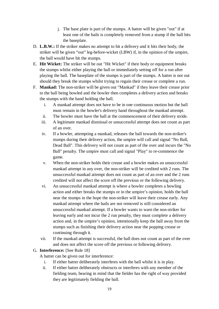- j. The base plate is part of the stumps. A batter will be given "out" if at least one of the bails is completely removed from a stump if the ball hits the baseplate.
- D. **L.B.W.:** If the striker makes no attempt to hit a delivery and it hits their body, the striker will be given "out" leg-before-wicket (LBW) if, in the opinion of the umpire, the ball would have hit the stumps.
- E. **Hit Wicket:** The striker will be out "Hit Wicket" if their body or equipment breaks the stumps whilst either playing the ball or immediately setting off for a run after playing the ball. The baseplate of the stumps is part of the stumps. A batter is not out should they break the stumps whilst trying to regain their crease or complete a run.
- F. **Mankad:** The non-striker will be given out "Mankad" if they leave their crease prior to the ball being bowled and the bowler then completes a delivery action and breaks the stumps with the hand holding the ball.
	- i. A mankad attempt does not have to be in one continuous motion but the ball must remain in the bowler's delivery hand throughout the mankad attempt.
	- ii. The bowler must have the ball at the commencement of their delivery stride.
	- iii. A legitimate mankad dismissal or unsuccessful attempt does not count as part of an over.
	- iv. If a bowler, attempting a mankad, releases the ball towards the non-striker's stumps during their delivery action, the umpire will call and signal "No Ball, Dead Ball". This delivery will not count as part of the over and incurs the "No Ball" penalty. The umpire must call and signal "Play" to re-commence the game.
	- v. When the non-striker holds their crease and a bowler makes an unsuccessful mankad attempt in any over, the non-striker will be credited with 2 runs. The unsuccessful mankad attempt does not count as part of an over and the 2 runs credited will not affect the score off the previous or the following delivery.
	- vi. An unsuccessful mankad attempt is where a bowler completes a bowling action and either breaks the stumps or in the umpire's opinion, holds the ball near the stumps in the hope the non-striker will leave their crease early. Any mankad attempt where the bails are not removed is still considered an unsuccessful mankad attempt. If a bowler wants to warn the non-striker for leaving early and not incur the 2 run penalty, they must complete a delivery action and, in the umpire's opinion, intentionally keep the ball away from the stumps such as finishing their delivery action near the popping crease or continuing through it.
	- vii. If the mankad attempt is successful, the ball does not count as part of the over and does not affect the score off the previous or following delivery.

#### G. **Interference:** [See Rule 18]

- A batter can be given out for interference:
	- i. If either batter deliberately interferes with the ball whilst it is in play.
	- ii. If either batter deliberately obstructs or interferes with any member of the fielding team, bearing in mind that the fielder has the right of way provided they are legitimately fielding the ball.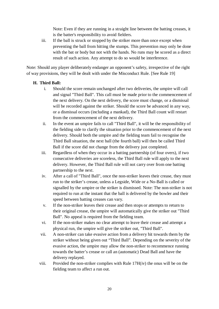Note: Even if they are running in a straight line between the batting creases, it is the batter's responsibility to avoid fielders.

iii. If the ball is struck or stopped by the striker more than once except when preventing the ball from hitting the stumps. This prevention may only be done with the bat or body but not with the hands. No runs may be scored as a direct result of such action. Any attempt to do so would be interference.

Note: Should any player deliberately endanger an opponent's safety, irrespective of the right of way provisions, they will be dealt with under the Misconduct Rule. [See Rule 19]

#### **H. Third Ball:**

- i. Should the score remain unchanged after two deliveries, the umpire will call and signal "Third Ball". This call must be made prior to the commencement of the next delivery. On the next delivery, the score must change, or a dismissal will be recorded against the striker. Should the score be advanced in any way, or a dismissal occurs (including a mankad), the Third Ball count will restart from the commencement of the next delivery.
- ii. In the event an umpire fails to call "Third Ball", it will be the responsibility of the fielding side to clarify the situation prior to the commencement of the next delivery. Should both the umpire and the fielding team fail to recognise the Third Ball situation, the next ball (the fourth ball) will then be called Third Ball if the score did not change from the delivery just completed.
- iii. Regardless of when they occur in a batting partnership (of four overs), if two consecutive deliveries are scoreless, the Third Ball rule will apply to the next delivery. However, the Third Ball rule will not carry over from one batting partnership to the next.
- iv. After a call of "Third Ball", once the non-striker leaves their crease, they must run to the striker's crease, unless a Legside, Wide or a No-Ball is called or signalled by the umpire or the striker is dismissed. Note: The non-striker is not required to run at the instant that the ball is delivered by the bowler and their speed between batting creases can vary.
- v. If the non-striker leaves their crease and then stops or attempts to return to their original crease, the umpire will automatically give the striker out "Third Ball". No appeal is required from the fielding team.
- vi. If the non-striker makes no clear attempt to leave their crease and attempt a physical run, the umpire will give the striker out, "Third Ball".
- vii. A non-striker can take evasive action from a delivery hit towards them by the striker without being given out "Third Ball". Depending on the severity of the evasive action, the umpire may allow the non-striker to recommence running towards the batter's crease or call an (automatic) Dead Ball and have the delivery replayed.
- viii. Provided the non-striker complies with Rule  $17H(iv)$  the onus will be on the fielding team to affect a run out.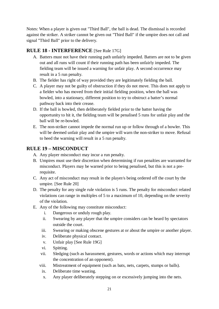Notes: When a player is given out "Third Ball", the ball is dead. The dismissal is recorded against the striker. A striker cannot be given out "Third Ball" if the umpire does not call and signal "Third Ball" prior to the delivery.

# <span id="page-21-0"></span>**RULE 18 - INTERFERENCE** [See Rule 17G]

- A. Batters must not have their running path unfairly impeded. Batters are not to be given out and all runs will count if their running path has been unfairly impeded. The fielding team will be issued a warning for unfair play. A second occurrence may result in a 5 run penalty.
- B. The fielder has right of way provided they are legitimately fielding the ball.
- C. A player may not be guilty of obstruction if they do not move. This does not apply to a fielder who has moved from their initial fielding position, when the ball was bowled, into a stationary, different position to try to obstruct a batter's normal pathway back into their crease.
- D. If the ball is bowled, then deliberately fielded prior to the batter having the opportunity to hit it, the fielding team will be penalised 5 runs for unfair play and the ball will be re-bowled.
- E. The non-striker cannot impede the normal run up or follow through of a bowler. This will be deemed unfair play and the umpire will warn the non-striker to move. Refusal to heed the warning will result in a 5 run penalty.

# <span id="page-21-1"></span>**RULE 19 – MISCONDUCT**

- A. Any player misconduct may incur a run penalty.
- B. Umpires must use their discretion when determining if run penalties are warranted for misconduct. Players may be warned prior to being penalised, but this is not a prerequisite.
- C. Any act of misconduct may result in the player/s being ordered off the court by the umpire. [See Rule 20]
- D. The penalty for any single rule violation is 5 runs. The penalty for misconduct related violations can range in multiples of 5 to a maximum of 10, depending on the severity of the violation.
- E. Any of the following may constitute misconduct:
	- i. Dangerous or unduly rough play.
	- ii. Swearing by any player that the umpire considers can be heard by spectators outside the court.
	- iii. Swearing or making obscene gestures at or about the umpire or another player.
	- iv. Deliberate physical contact.
	- v. Unfair play [See Rule 19G]
	- vi. Spitting.
	- vii. Sledging (such as harassment, gestures, words or actions which may interrupt the concentration of an opponent).
	- viii. Mistreatment of equipment (such as bats, nets, carpets, stumps or balls).
		- ix. Deliberate time wasting.
		- x. Any player deliberately stepping on or excessively jumping into the nets.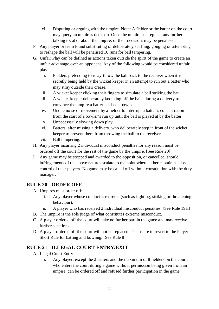- xi. Disputing or arguing with the umpire. Note: A fielder or the batter on the court may query an umpire's decision. Once the umpire has replied, any further talking to, at or about the umpire, or their decision, may be penalised.
- F. Any player or team found substituting or deliberately scuffing, gouging or attempting to reshape the ball will be penalised 10 runs for ball tampering.
- G. Unfair Play can be defined as actions taken outside the spirit of the game to create an unfair advantage over an opponent. Any of the following would be considered unfair play:
	- i. Fielders pretending to relay-throw the ball back to the receiver when it is secretly being held by the wicket keeper in an attempt to run out a batter who may stray outside their crease.
	- ii. A wicket keeper clicking their fingers to simulate a ball striking the bat.
	- iii. A wicket keeper deliberately knocking off the bails during a delivery to convince the umpire a batter has been bowled.
	- iv. Undue noise or movement by a fielder to interrupt a batter's concentration from the start of a bowler's run up until the ball is played at by the batter.
	- v. Unnecessarily slowing down play.
	- vi. Batters, after missing a delivery, who deliberately step in front of the wicket keeper to prevent them from throwing the ball to the receiver.
	- vii. Ball tampering.
- H. Any player incurring 2 individual misconduct penalties for any reason must be ordered off the court for the rest of the game by the umpire. [See Rule 20]
- I. Any game may be stopped and awarded to the opposition, or cancelled, should infringements of the above nature escalate to the point where either captain has lost control of their players. No game may be called off without consultation with the duty manager.

#### <span id="page-22-0"></span>**RULE 20 - ORDER OFF**

- A. Umpires must order off:
	- i. Any player whose conduct is extreme (such as fighting, striking or threatening behaviour).
	- ii. A player who has received 2 individual misconduct penalties. [See Rule 19H]
- B. The umpire is the sole judge of what constitutes extreme misconduct.
- C. A player ordered off the court will take no further part in the game and may receive further sanctions.
- D. A player ordered off the court will not be replaced. Teams are to revert to the Player Short Rule for batting and bowling. [See Rule 8]

# <span id="page-22-1"></span>**RULE 21 - ILLEGAL COURT ENTRY/EXIT**

- A. Illegal Court Entry
	- i. Any player, except the 2 batters and the maximum of 8 fielders on the court, who enters the court during a game without permission being given from an umpire, can be ordered off and refused further participation in the game.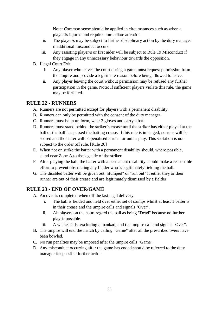Note: Common sense should be applied in circumstances such as when a player is injured and requires immediate attention.

- ii. The player/s may be subject to further disciplinary action by the duty manager if additional misconduct occurs.
- iii. Any assisting player/s or first aider will be subject to Rule 19 Misconduct if they engage in any unnecessary behaviour towards the opposition.
- B. Illegal Court Exit
	- i. Any player who leaves the court during a game must request permission from the umpire and provide a legitimate reason before being allowed to leave.
	- ii. Any player leaving the court without permission may be refused any further participation in the game. Note: If sufficient players violate this rule, the game may be forfeited.

#### <span id="page-23-0"></span>**RULE 22 - RUNNERS**

- A. Runners are not permitted except for players with a permanent disability.
- B. Runners can only be permitted with the consent of the duty manager.
- C. Runners must be in uniform, wear 2 gloves and carry a bat.
- D. Runners must stand behind the striker's crease until the striker has either played at the ball or the ball has passed the batting crease. If this rule is infringed, no runs will be scored and the batter will be penalised 5 runs for unfair play. This violation is not subject to the order off rule. [Rule 20]
- E. When not on strike the batter with a permanent disability should, where possible, stand near Zone A to the leg side of the striker.
- F. After playing the ball, the batter with a permanent disability should make a reasonable effort to prevent obstructing any fielder who is legitimately fielding the ball.
- G. The disabled batter will be given out "stumped" or "run out" if either they or their runner are out of their crease and are legitimately dismissed by a fielder.

# <span id="page-23-1"></span>**RULE 23 - END OF OVER/GAME**

- A. An over is completed when off the last legal delivery:
	- i. The ball is fielded and held over either set of stumps whilst at least 1 batter is in their crease and the umpire calls and signals "Over".
	- ii. All players on the court regard the ball as being "Dead" because no further play is possible.
	- iii. A wicket falls, excluding a mankad, and the umpire call and signals "Over".
- B. The umpire will end the match by calling "Game" after all the prescribed overs have been bowled.
- C. No run penalties may be imposed after the umpire calls "Game".
- D. Any misconduct occurring after the game has ended should be referred to the duty manager for possible further action.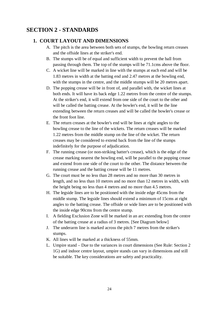# <span id="page-24-1"></span><span id="page-24-0"></span>**SECTION 2 - STANDARDS**

#### **1. COURT LAYOUT AND DIMENSIONS**

- A. The pitch is the area between both sets of stumps, the bowling return creases and the offside lines at the striker's end.
- B. The stumps will be of equal and sufficient width to prevent the ball from passing through them. The top of the stumps will be 71.1cms above the floor.
- C. A wicket line will be marked in line with the stumps at each end and will be 1.83 metres in width at the batting end and 2.47 metres at the bowling end, with the stumps in the centre, and the middle stumps will be 20 metres apart.
- D. The popping crease will be in front of, and parallel with, the wicket lines at both ends. It will have its back edge 1.22 metres from the centre of the stumps. At the striker's end, it will extend from one side of the court to the other and will be called the batting crease. At the bowler's end, it will be the line extending between the return creases and will be called the bowler's crease or the front foot line.
- E. The return creases at the bowler's end will be lines at right angles to the bowling crease to the line of the wickets. The return creases will be marked 1.22 metres from the middle stump on the line of the wicket. The return creases may be considered to extend back from the line of the stumps indefinitely for the purpose of adjudication.
- F. The running crease (or non-striking batter's crease), which is the edge of the crease marking nearest the bowling end, will be parallel to the popping crease and extend from one side of the court to the other. The distance between the running crease and the batting crease will be 11 metres.
- G. The court must be no less than 28 metres and no more than 30 metres in length, and no less than 10 metres and no more than 12 metres in width, with the height being no less than 4 metres and no more than 4.5 metres.
- H. The legside lines are to be positioned with the inside edge 45cms from the middle stump. The legside lines should extend a minimum of 15cms at right angles to the batting crease. The offside or wide lines are to be positioned with the inside edge 90cms from the centre stump.
- I. A fielding Exclusion Zone will be marked in an arc extending from the centre of the batting crease at a radius of 3 metres. [See Diagram below]
- J. The underarm line is marked across the pitch 7 metres from the striker's stumps.
- K. All lines will be marked at a thickness of 55mm.
- L. Umpire stand Due to the variances in court dimensions (See Rule: Section 2 1G) and indoor centre layout, umpire stands can vary in dimensions and still be suitable. The key considerations are safety and practicality.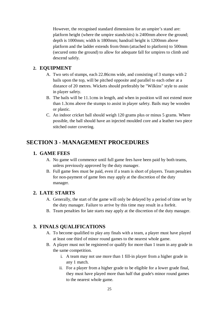However, the recognised standard dimensions for an umpire's stand are: platform height (where the umpire stands/sits) is 2400mm above the ground; depth is 1000mm; width is 1800mm; handrail height is 1200mm above platform and the ladder extends from 0mm (attached to platform) to 500mm (secured onto the ground) to allow for adequate fall for umpires to climb and descend safely.

#### <span id="page-25-0"></span>**2. EQUIPMENT**

- A. Two sets of stumps, each 22.86cms wide, and consisting of 3 stumps with 2 bails upon the top, will be pitched opposite and parallel to each other at a distance of 20 metres. Wickets should preferably be "Wilkins" style to assist in player safety.
- B. The bails will be 11.1cms in length, and when in position will not extend more than 1.3cms above the stumps to assist in player safety. Bails may be wooden or plastic.
- C. An indoor cricket ball should weigh 120 grams plus or minus 5 grams. Where possible, the ball should have an injected moulded core and a leather two piece stitched outer covering.

# <span id="page-25-2"></span><span id="page-25-1"></span>**SECTION 3 - MANAGEMENT PROCEDURES**

#### **1. GAME FEES**

- A. No game will commence until full game fees have been paid by both teams, unless previously approved by the duty manager.
- B. Full game fees must be paid, even if a team is short of players. Team penalties for non-payment of game fees may apply at the discretion of the duty manager.

#### <span id="page-25-3"></span>**2. LATE STARTS**

- A. Generally, the start of the game will only be delayed by a period of time set by the duty manager. Failure to arrive by this time may result in a forfeit.
- B. Team penalties for late starts may apply at the discretion of the duty manager.

#### <span id="page-25-4"></span>**3. FINALS QUALIFICATIONS**

- A. To become qualified to play any finals with a team, a player must have played at least one third of minor round games to the nearest whole game.
- B. A player must not be registered or qualify for more than 1 team in any grade in the same competition.
	- i. A team may not use more than 1 fill-in player from a higher grade in any 1 match.
	- ii. For a player from a higher grade to be eligible for a lower grade final, they must have played more than half that grade's minor round games to the nearest whole game.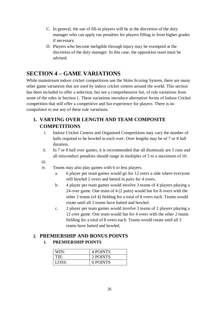- C. In general, the use of fill-in players will be at the discretion of the duty manager who can apply run penalties for players filling in from higher grades if necessary.
- D. Players who become ineligible through injury may be exempted at the discretion of the duty manager. In this case, the opposition team must be advised.

# <span id="page-26-0"></span>**SECTION 4 – GAME VARIATIONS**

While mainstream indoor cricket competitions use the Skins Scoring System, there are many other game variations that are used by indoor cricket centres around the world. This section has been included to offer a selection, but not a comprehensive list, of rule variations from some of the rules in Section 1. These variations introduce alternative forms of Indoor Cricket competition that still offer a competitive and fun experience for players. There is no compulsion to use any of these rule variations.

# <span id="page-26-1"></span>**1. VARYING OVER LENGTH AND TEAM COMPOSITE COMPETITIONS**

- i. Indoor Cricket Centres and Organised Competitions may vary the number of balls required to be bowled in each over. Over lengths may be of 7 or 8 ball duration.
- ii. In 7 or 8 ball over games, it is recommended that all dismissals are 5 runs and all misconduct penalties should range in multiples of 5 to a maximum of 10.
- iii.
- iv. Teams may also play games with 6 or less players.
	- a. 6 player per team games would go for 12 overs a side where everyone still bowled 2 overs and batted in pairs for 4 overs.
	- b. 4 player per team games would involve 3 teams of 4 players playing a 24 over game. One team of 4 (2 pairs) would bat for 8 overs with the other 2 teams (of 4) fielding for a total of 8 overs each. Teams would rotate until all 3 teams have batted and bowled.
	- c. 2 player per team games would involve 3 teams of 2 players playing a 12 over game. One team would bat for 4 overs with the other 2 teams fielding for a total of 8 overs each. Teams would rotate until all 3 teams have batted and bowled.

# <span id="page-26-2"></span>**2. PREMIERSHIP AND BONUS POINTS**

#### **i. PREMIERSHIP POINTS**

| WIN:  | <b>4 POINTS</b> |
|-------|-----------------|
| TIE:  | 2 POINTS        |
| LOSS: | 0 POINTS        |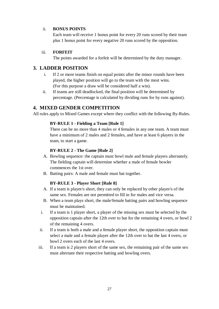#### ii. **BONUS POINTS**

Each team will receive 1 bonus point for every 20 runs scored by their team plus 1 bonus point for every negative 20 runs scored by the opposition.

#### iii. **FORFEIT**

The points awarded for a forfeit will be determined by the duty manager.

#### <span id="page-27-0"></span>**3. LADDER POSITION**

- i. If 2 or more teams finish on equal points after the minor rounds have been played, the higher position will go to the team with the most wins. (For this purpose a draw will be considered half a win).
- ii. If teams are still deadlocked, the final position will be determined by percentage. (Percentage is calculated by dividing runs for by runs against).

#### <span id="page-27-1"></span>**4. MIXED GENDER COMPETITION**

All rules apply to Mixed Games except where they conflict with the following By-Rules.

#### **BY-RULE 1 - Fielding a Team [Rule 1]**

There can be no more than 4 males or 4 females in any one team. A team must have a minimum of 2 males and 2 females, and have at least 6 players in the team, to start a game.

#### **BY-RULE 2 - The Game [Rule 2]**

- A. Bowling sequence: the captain must bowl male and female players alternately. The fielding captain will determine whether a male of female bowler commences the 1st over.
- B. Batting pairs: A male and female must bat together.

#### **BY-RULE 3 - Player Short [Rule 8]**

- A. If a team is player/s short, they can only be replaced by other player/s of the same sex. Females are not permitted to fill in for males and vice versa.
- B. When a team plays short, the male/female batting pairs and bowling sequence must be maintained.
- i. If a team is 1 player short, a player of the missing sex must be selected by the opposition captain after the 12th over to bat for the remaining 4 overs, or bowl 2 of the remaining 4 overs.
- ii. If a team is both a male and a female player short, the opposition captain must select a male and a female player after the 12th over to bat the last 4 overs, or bowl 2 overs each of the last 4 overs.
- iii. If a team is 2 players short of the same sex, the remaining pair of the same sex must alternate their respective batting and bowling overs.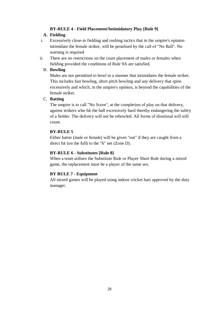#### **BY-RULE 4 - Field Placement/Intimidatory Play [Rule 9]**

#### **A. Fielding**

- i. Excessively close-in fielding and rushing tactics that in the umpire's opinion intimidate the female striker, will be penalised by the call of "No Ball". No warning is required
- ii. There are no restrictions on the court placement of males or females when fielding provided the conditions of Rule 9A are satisfied.

#### B. **Bowling**

Males are not permitted to bowl in a manner that intimidates the female striker. This includes fast bowling, short pitch bowling and any delivery that spins excessively and which, in the umpire's opinion, is beyond the capabilities of the female striker.

#### C. **Batting**

The umpire is to call "No Score", at the completion of play on that delivery, against strikers who hit the ball excessively hard thereby endangering the safety of a fielder. The delivery will not be rebowled. All forms of dismissal will still count.

#### **BY-RULE 5**

Either batter (male or female) will be given "out" if they are caught from a direct hit (on the full) to the "6" net (Zone D).

#### **BY-RULE 6 - Substitutes [Rule 8]**

When a team utilises the Substitute Rule or Player Short Rule during a mixed game, the replacement must be a player of the same sex.

#### **BY RULE 7 - Equipment**

All mixed games will be played using indoor cricket bats approved by the duty manager.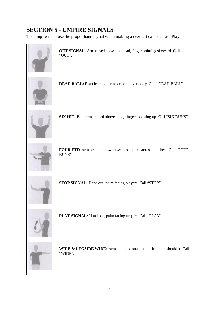# <span id="page-29-0"></span>**SECTION 5 - UMPIRE SIGNALS**

The umpire must use the proper hand signal when making a (verbal) call such as "Play".

| OUT SIGNAL: Arm raised above the head, finger pointing skyward. Call<br>"OUT".      |
|-------------------------------------------------------------------------------------|
| DEAD BALL: Fist clenched, arms crossed over body. Call "DEAD BALL".                 |
| SIX HIT: Both arms raised above head, fingers pointing up. Call "SIX RUNS".         |
| FOUR HIT: Arm bent at elbow moved to and fro across the chest. Call "FOUR<br>RUNS". |
| STOP SIGNAL: Hand out, palm facing players. Call "STOP".                            |
| PLAY SIGNAL: Hand out, palm facing umpire. Call "PLAY".                             |
| WIDE & LEGSIDE WIDE: Arm extended straight out from the shoulder. Call<br>"WIDE".   |